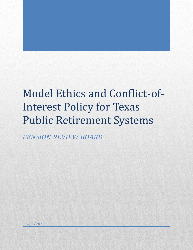# Model Ethics and Conflict-of-Interest Policy for Texas Public Retirement Systems

*PENSION REVIEW BOARD*

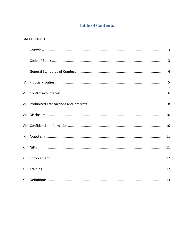# **Table of Contents**

| $\mathbf{L}$ |  |
|--------------|--|
| II.          |  |
| III.         |  |
|              |  |
| V.           |  |
|              |  |
|              |  |
|              |  |
|              |  |
| X.           |  |
|              |  |
|              |  |
|              |  |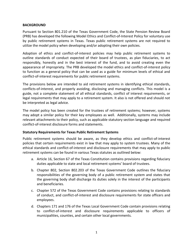#### <span id="page-2-0"></span>**BACKGROUND**

Pursuant to Section 801.210 of the Texas Government Code, the State Pension Review Board (PRB) has developed the following Model Ethics and Conflict-of-Interest Policy for voluntary use by public retirement systems in Texas. Texas public retirement systems are not required to utilize the model policy when developing and/or adopting their own policies.

Adoption of ethics and conflict-of-interest policies may help public retirement systems to outline standards of conduct expected of their board of trustees, as plan fiduciaries, to act responsibly, honestly and in the best interest of the fund, and to avoid creating even the appearance of impropriety. The PRB developed the model ethics and conflict-of-interest policy to function as a general policy that can be used as a guide for minimum levels of ethical and conflict-of-interest requirements for public retirement systems.

The provisions below are intended to aid retirement systems in identifying ethical standards, conflicts-of-interest, and properly avoiding, disclosing and managing conflicts. This model is a guide, not a complete statement of all ethical standards, conflict of interest requirements, or legal requirements that may apply to a retirement system. It also is not offered and should not be interpreted as legal advice.

The model policy has been created for the trustees of retirement systems; however, systems may adopt a similar policy for their key employees as well. Additionally, systems may include relevant attachments to their policy, such as applicable statutory section language and required conflict-of-interest disclosure forms and statements.

# **Statutory Requirements for Texas Public Retirement Systems**

Public retirement systems should be aware, as they develop ethics and conflict-of-interest policies that certain requirements exist in law that may apply to system trustees. Many of the ethical standards and conflict-of-interest and disclosure requirements that may apply to public retirement systems can be found in various Texas statutes as outlined below:

- a. Article 16, Section 67 of the Texas Constitution contains provisions regarding fiduciary duties applicable to state and local retirement systems' board of trustees.
- b. Chapter 802, Section 802.203 of the Texas Government Code outlines the fiduciary responsibilities of the governing body of a public retirement system and states that the governing body shall discharge its duties solely in the interest of the participants and beneficiaries.
- c. Chapter 572 of the Texas Government Code contains provisions relating to standards of conduct, and conflict-of-interest and disclosure requirements for state officers and employees.
- d. Chapters 171 and 176 of the Texas Local Government Code contain provisions relating to conflict-of-interest and disclosure requirements applicable to officers of municipalities, counties, and certain other local governments.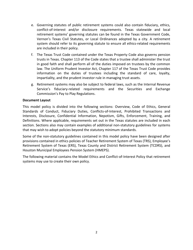- e. Governing statutes of public retirement systems could also contain fiduciary, ethics, conflict-of-interest and/or disclosure requirements. Texas statewide and local retirement systems' governing statutes can be found in the Texas Government Code, Vernon's Texas Civil Statutes, or Local Ordinances adopted by a city. A retirement system should refer to its governing statute to ensure all ethics-related requirements are included in their policy.
- f. The Texas Trust Code contained under the Texas Property Code also governs pension trusts in Texas. Chapter 113 of the Code states that a trustee shall administer the trust in good faith and shall perform all of the duties imposed on trustees by the common law. The Uniform Prudent Investor Act, Chapter 117 of the Texas Trust Code provides information on the duties of trustees including the standard of care, loyalty, impartiality, and the prudent investor rule in managing trust assets.
- g. Retirement systems may also be subject to federal laws, such as the Internal Revenue Service's fiduciary-related requirements and the Securities and Exchange Commission's Pay to Play Regulations.

#### **Document Layout**

This model policy is divided into the following sections: Overview, Code of Ethics, General Standards of Conduct, Fiduciary Duties, Conflicts-of-Interest, Prohibited Transactions and Interests, Disclosure, Confidential Information, Nepotism, Gifts, Enforcement, Training, and Definitions. Where applicable, requirements set out in the Texas statutes are included in each section. Sections also may contain examples of additional non-statutory guidelines for systems that may wish to adopt policies beyond the statutory minimum standards.

Some of the non-statutory guidelines contained in this model policy have been designed after provisions contained in ethics policies of Teacher Retirement System of Texas (TRS), Employee's Retirement System of Texas (ERS), Texas County and District Retirement System (TCDRS), and Houston Municipal Employees Pension System (HMEPS).

The following material contains the Model Ethics and Conflict-of-Interest Policy that retirement systems may use to create their own policy.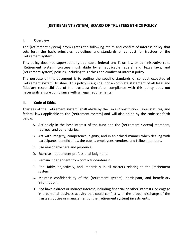# **[RETIREMENT SYSTEM] BOARD OF TRUSTEES ETHICS POLICY**

### <span id="page-4-0"></span>**I. Overview**

The [retirement system] promulgates the following ethics and conflict-of-interest policy that sets forth the basic principles, guidelines and standards of conduct for trustees of the [retirement system].

This policy does not supersede any applicable federal and Texas law or administrative rule. [Retirement system] trustees must abide by all applicable federal and Texas laws, and [retirement system] policies, including this ethics and conflict-of-interest policy.

The purpose of this document is to outline the specific standards of conduct expected of [retirement system] trustees. This policy is a guide, not a complete statement of all legal and fiduciary responsibilities of the trustees; therefore, compliance with this policy does not necessarily ensure compliance with all legal requirements.

### <span id="page-4-1"></span>**II. Code of Ethics**

Trustees of the [retirement system] shall abide by the Texas Constitution, Texas statutes, and federal laws applicable to the [retirement system] and will also abide by the code set forth below:

- A. Act solely in the best interest of the fund and the [retirement system] members, retirees, and beneficiaries.
- B. Act with integrity, competence, dignity, and in an ethical manner when dealing with participants, beneficiaries, the public, employees, vendors, and fellow members.
- C. Use reasonable care and prudence.
- D. Exercise independent professional judgment.
- E. Remain independent from conflicts-of-interest.
- F. Deal fairly, objectively, and impartially in all matters relating to the [retirement system].
- G. Maintain confidentiality of the [retirement system], participant, and beneficiary information.
- H. Not have a direct or indirect interest, including financial or other interests, or engage in a personal business activity that could conflict with the proper discharge of the trustee's duties or management of the [retirement system] investments.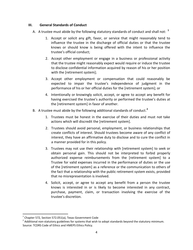#### <span id="page-5-0"></span>**III. General Standards of Conduct**

- A. A trustee must abide by the following statutory standards of conduct and shall not: **<sup>1</sup>**
	- 1. Accept or solicit any gift, favor, or service that might reasonably tend to influence the trustee in the discharge of official duties or that the trustee knows or should know is being offered with the intent to influence the trustee's official conduct;
	- 2. Accept other employment or engage in a business or professional activity that the trustee might reasonably expect would require or induce the trustee to disclose confidential information acquired by reason of his or her position with the [retirement system];
	- 3. Accept other employment or compensation that could reasonably be expected to impair the trustee's independence of judgment in the performance of his or her official duties for the [retirement system]; or
	- 4. Intentionally or knowingly solicit, accept, or agree to accept any benefit for having exercised the trustee's authority or performed the trustee's duties at the [retirement system] in favor of another.
- B. A trustee must abide by the following additional standards of conduct. **2**
	- 1. Trustees must be honest in the exercise of their duties and must not take actions which will discredit the [retirement system].
	- 2. Trustees should avoid personal, employment, or business relationships that create conflicts of interest. Should trustees become aware of any conflict of interest, they have an affirmative duty to disclose and to cure the conflict in a manner provided for in this policy.
	- 3. Trustees may not use their relationship with [retirement system] to seek or obtain personal gain. This should not be interpreted to forbid properly authorized expense reimbursements from the [retirement system] to a Trustee for valid expenses incurred in the performance of duties or the use of the [retirement system] as a reference or the communication to others of the fact that a relationship with the public retirement system exists, provided that no misrepresentation is involved.
	- 4. Solicit, accept, or agree to accept any benefit from a person the trustee knows is interested in or is likely to become interested in any contract, purchase, payment, claim, or transaction involving the exercise of the trustee's discretion.

 $\overline{\phantom{a}}$ 

 $^1$  Chapter 572, Section 572.051(a), Texas Government Code

 $^2$  Additional non-statutory guidelines for systems that wish to adopt standards beyond the statutory minimum. Source: TCDRS Code of Ethics and HMEPS Ethics Policy.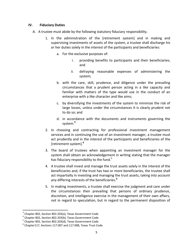#### <span id="page-6-0"></span>**IV. Fiduciary Duties**

- A. A trustee must abide by the following statutory fiduciary responsibility.
	- 1. In the administration of the [retirement system] and in making and supervising investments of assets of the system, a trustee shall discharge his or her duties solely in the interest of the participants and beneficiaries:
		- a. For the exclusive purposes of:
			- i. providing benefits to participants and their beneficiaries; and
			- ii. defraying reasonable expenses of administering the system;
		- b. with the care, skill, prudence, and diligence under the prevailing circumstances that a prudent person acting in a like capacity and familiar with matters of the type would use in the conduct of an enterprise with a like character and like aims;
		- c. by diversifying the investments of the system to minimize the risk of large losses, unless under the circumstances it is clearly prudent not to do so; and
		- d. in accordance with the documents and instruments governing the system. **3**
	- 2. In choosing and contracting for professional investment management services and in continuing the use of an investment manager, a trustee must act prudently and in the interest of the participants and beneficiaries of the [retirement system]. **4**
	- 3. The board of trustees when appointing an investment manager for the system shall obtain an acknowledgement in writing stating that the manager has fiduciary responsibility to the fund.<sup>5</sup>
	- 4. A trustee shall invest and manage the trust assets solely in the interest of the beneficiaries and, if the trust has two or more beneficiaries, the trustee shall act impartially in investing and managing the trust assets, taking into account any differing interests of the beneficiaries.**<sup>6</sup>**
	- 5. In making investments, a trustee shall exercise the judgment and care under the circumstances then prevailing that persons of ordinary prudence, discretion, and intelligence exercise in the management of their own affairs, not in regard to speculation, but in regard to the permanent disposition of

 $\overline{a}$ 

<sup>&</sup>lt;sup>3</sup> Chapter 802, Section 802.203(a), Texas Government Code

<sup>4</sup> Chapter 802, Section 802.203(b), Texas Government Code

<sup>&</sup>lt;sup>5</sup> Chapter 802, Section 802.203(d), Texas Government Code

 $^6$  Chapter117, Sections 117.007 and 117.008, Texas Trust Code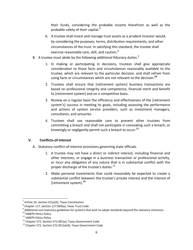their funds, considering the probable income therefrom as well as the probable safety of their capital.**<sup>7</sup>**

- 6. A trustee shall invest and manage trust assets as a prudent investor would, by considering the purposes, terms, distribution requirements, and other circumstances of the trust. In satisfying this standard, the trustee shall exercise reasonable care, skill, and caution. $8$
- B. A trustee must abide by the following additional fiduciary duties. $9$ 
	- 1. In making or participating in decisions, trustees shall give appropriate consideration to those facts and circumstances reasonably available to the trustee, which are relevant to the particular decision, and shall refrain from using facts or circumstances which are not relevant to the decision.**<sup>10</sup>**
	- 2. Trustees shall ensure that [retirement system] business transactions are based on professional integrity and competence, financial merit and benefit to [retirement system] and on a competitive basis.
	- 3. Review on a regular basis the efficiency and effectiveness of the [retirement system's] success in meeting its goals, including assessing the performance and actions of system service providers, such as investment managers, consultants, and actuaries.
	- 4. Trustees shall use reasonable care to prevent other trustees from committing a breach and shall not participate in concealing such a breach, or knowingly or negligently permit such a breach to occur.**<sup>11</sup>**

# <span id="page-7-0"></span>**V. Conflicts-of-Interest**

- A. Statutory conflict-of-interest provisions governing state officials.
	- 1. A trustee may not have a direct or indirect interest, including financial and other interests, or engage in a business transaction or professional activity, or incur any obligation of any nature that is in substantial conflict with the proper discharge of the trustee's duties.<sup>12</sup>
	- 2. Make personal investments that could reasonably be expected to create a substantial conflict between the trustee's private interest and the interest of [retirement system].**<sup>13</sup>**

 $\overline{\phantom{a}}$ 

 $^7$  Article 16, Section 67(a)(3), Texas Constitution

 $^8$  Chapter 117, Section 117.004(a), Texas Trust Code

 $^9$  Additional non-statutory guidelines for systems that wish to adopt standards beyond the statutory minimum.

<sup>&</sup>lt;sup>10</sup> HMEPS Ethics Policy

<sup>&</sup>lt;sup>11</sup> HMEPS Ethics Policy

<sup>&</sup>lt;sup>12</sup> Chapter 572, Section 572.001(a), Texas Government Code

 $13$  Chapter 572, Section 572.051(a)(4), Texas Government Code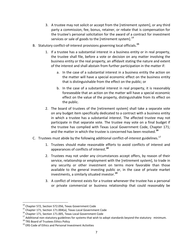- 3. A trustee may not solicit or accept from the [retirement system], or any third party a commission, fee, bonus, retainer, or rebate that is compensation for the trustee's personal solicitation for the award of a contract for investment services or sale of goods to the [retirement system].<sup>14</sup>
- B. Statutory conflict-of-interest provisions governing local officials. **15**
	- 1. If a trustee has a substantial interest in a business entity or in real property, the trustee shall file, before a vote or decision on any matter involving the business entity or the real property, an affidavit stating the nature and extent of the interest and shall abstain from further participation in the matter if:
		- a. In the case of a substantial interest in a business entity the action on the matter will have a special economic effect on the business entity that is distinguishable from the effect on the public; or
		- b. In the case of a substantial interest in real property, it is reasonably foreseeable that an action on the matter will have a special economic effect on the value of the property, distinguishable from its effect on the public.
	- 2. The board of trustees of the [retirement system] shall take a separate vote on any budget item specifically dedicated to a contract with a business entity in which a trustee has a substantial interest. The affected trustee may not participate in that separate vote. The trustee may vote on a final budget if the trustee has complied with Texas Local Government Code, Chapter 171; and the matter in which the trustee is concerned has been resolved.**<sup>16</sup>**
- C. Trustees must abide by the following additional conflict-of-interest guidelines.<sup>17</sup>
	- 1. Trustees should make reasonable efforts to avoid conflicts of interest and appearances of conflicts of interest.**<sup>18</sup>**
	- 2. Trustees may not under any circumstances accept offers, by reason of their service, relationship or employment with the [retirement system], to trade in any security or other investment on terms more favorable than those available to the general investing public or, in the case of private market investments, a similarly situated investor.**<sup>19</sup>**
	- 3. A conflict of interest exists for a trustee whenever the trustee has a personal or private commercial or business relationship that could reasonably be

 $\overline{a}$ 

<sup>&</sup>lt;sup>14</sup> Chapter 572, Section 572.056, Texas Government Code

<sup>&</sup>lt;sup>15</sup> Chapter 171, Section 171.004(a), Texas Local Government Code

<sup>&</sup>lt;sup>16</sup> Chapter 171, Section 171.005, Texas Local Government Code

 $17$  Additional non-statutory guidelines for systems that wish to adopt standards beyond the statutory minimum.

<sup>&</sup>lt;sup>18</sup> TRS Board of Trustees Ethics Policy

 $19$  ERS Code of Ethics and Personal Investment Activities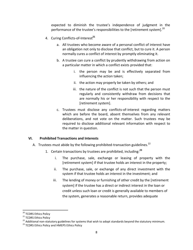expected to diminish the trustee's independence of judgment in the performance of the trustee's responsibilities to the [retirement system].<sup>20</sup>

- 4. Curing Conflicts-of-Interest**<sup>21</sup>**
	- a. All trustees who become aware of a personal conflict of interest have an obligation not only to disclose that conflict, but to cure it. A person normally cures a conflict of interest by promptly eliminating it.
	- b. A trustee can cure a conflict by prudently withdrawing from action on a particular matter in which a conflict exists provided that:
		- i. the person may be and is effectively separated from influencing the action taken;
		- ii. the action may properly be taken by others; and
		- iii. the nature of the conflict is not such that the person must regularly and consistently withdraw from decisions that are normally his or her responsibility with respect to the [retirement system].
	- c. Trustees must disclose any conflicts-of-interest regarding matters which are before the board, absent themselves from any relevant deliberations, and not vote on the matter. Such trustees may be required to disclose additional relevant information with respect to the matter in question.

#### <span id="page-9-0"></span>**VI. Prohibited Transactions and Interests**

- A. Trustees must abide by the following prohibited-transaction guidelines.<sup>22</sup>
	- 1. Certain transactions by trustees are prohibited, including:**<sup>23</sup>**
		- i. The purchase, sale, exchange or leasing of property with the [retirement system] if that trustee holds an interest in the property;
		- ii. The purchase, sale, or exchange of any direct investment with the system if that trustee holds an interest in the investment; and
		- iii. The lending of money or furnishing of other credit by the [retirement system] if the trustee has a direct or indirect interest in the loan or credit unless such loan or credit is generally available to members of the system, generates a reasonable return, provides adequate

 $\overline{a}$ <sup>20</sup> TCDRS Ethics Policy

<sup>&</sup>lt;sup>21</sup> TCDRS Ethics Policy

<sup>&</sup>lt;sup>22</sup> Additional non-statutory guidelines for systems that wish to adopt standards beyond the statutory minimum.

<sup>&</sup>lt;sup>23</sup> TCDRS Ethics Policy and HMEPS Ethics Policy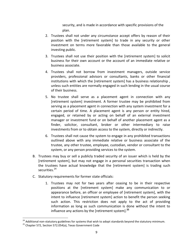security, and is made in accordance with specific provisions of the plan.

- 2. Trustees shall not under any circumstance accept offers by reason of their position with the [retirement system] to trade in any security or other investment on terms more favorable than those available to the general investing public.
- 3. Trustees shall not use their position with the [retirement system] to solicit business for their own account or the account of an immediate relative or business associate.
- 4. Trustees shall not borrow from investment managers, outside service providers, professional advisors or consultants, banks or other financial institutions with which the [retirement system] has a business relationship , unless such entities are normally engaged in such lending in the usual course of their business.
- 5. No trustee shall serve as a placement agent in connection with any [retirement system] investment. A former trustee may be prohibited from serving as a placement agent in connection with any system investment for a certain period of time. A placement agent is any person or entity hired, engaged, or retained by or acting on behalf of an external investment manager or investment fund or on behalf of another placement agent as a finder, solicitor, consultant, broker or other intermediary to raise investments from or to obtain access to the system, directly or indirectly.
- 6. Trustees shall not cause the system to engage in any prohibited transactions outlined above with any immediate relative or business associate of the trustee, any other trustee, employee, custodian, vendor or consultant to the system, or any person providing services to the system.
- B. Trustees may buy or sell a publicly traded security of an issuer which is held by the [retirement system], but may not engage in a personal securities transaction when the trustees have actual knowledge that the [retirement system] is trading such securities.<sup>24</sup>
- C. Statutory requirements for former state officials:
	- 1. Trustees may not for two years after ceasing to be in their respective positions at the [retirement system] make any communication to or appearance before, an officer or employee of [retirement system], with the intent to influence [retirement system] action to benefit the person seeking such action. This restriction does not apply to the act of providing information as long as such communication is done without the intent to influence any actions by the [retirement system]. **25**

l

<sup>&</sup>lt;sup>24</sup> Additional non-statutory guidelines for systems that wish to adopt standards beyond the statutory minimum.

<sup>&</sup>lt;sup>25</sup> Chapter 572, Section 572.054(a), Texas Government Code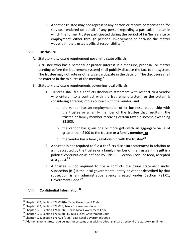2. A former trustee may not represent any person or receive compensation for services rendered on behalf of any person regarding a particular matter in which the former trustee participated during the period of his/her service or employment, either through personal involvement or because the matter was within the trustee's official responsibility.**<sup>26</sup>**

#### <span id="page-11-0"></span>**VII. Disclosure**

A. Statutory disclosure requirement governing state officials.

A trustee who has a personal or private interest in a measure, proposal, or matter pending before the [retirement system] shall publicly disclose the fact to the system. The trustee may not vote or otherwise participate in the decision. The disclosure shall be entered in the minutes of the meeting.**<sup>27</sup>**

- B. Statutory disclosure requirements governing local officials.
	- 1. Trustees shall file a conflicts disclosure statement with respect to a vendor who enters into a contract with the [retirement system] or the system is considering entering into a contract with the vendor; and
		- a. the vendor has an employment or other business relationship with the trustee or a family member of the trustee that results in the trustee or family member receiving certain taxable income exceeding \$2,500.
		- b. the vendor has given one or more gifts with an aggregate value of greater than \$100 to the trustee or a family member; or
		- c. the vendor has a family relationship with the trustee**<sup>28</sup>**
	- 2. A trustee is not required to file a conflicts disclosure statement in relation to a gift accepted by the trustee or a family member of the trustee if the gift is a political contribution as defined by Title 15, Election Code; or food, accepted as a guest.**<sup>29</sup>**
	- 3. A trustee is not required to file a conflicts disclosure statement under Subsection (B1) if the local governmental entity or vendor described by that subsection is an administrative agency created under Section 791.01, Government Code.<sup>30</sup>

# <span id="page-11-1"></span>**VIII. Confidential Information<sup>31</sup>**

 $\overline{\phantom{a}}$ 

 $^{26}$  Chapter 572, Section 572.054(b), Texas Government Code

<sup>&</sup>lt;sup>27</sup> Chapter 572, Section 572.058, Texas Government Code

<sup>&</sup>lt;sup>28</sup> Chapter 176, Section 176.003(a), Texas Local Government Code

 $29$  Chapter 176, Section 176.003(a-1), Texas Local Government Code

<sup>&</sup>lt;sup>30</sup> Chapter 176, Section 176.003 (a-2), Texas Local Government Code

 $31$  Additional non-statutory guidelines for systems that wish to adopt standards beyond the statutory minimum.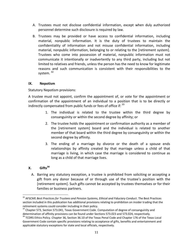- A. Trustees must not disclose confidential information, except when duly authorized personnel determine such disclosure is required by law.
- B. Trustees may be provided or have access to confidential information, including material, nonpublic information. It is the duty of trustees to maintain the confidentiality of information and not misuse confidential information, including material, nonpublic information, belonging to or relating to the [retirement system]. Trustees who come into possession of material, nonpublic information must not communicate it intentionally or inadvertently to any third party, including but not limited to relatives and friends, unless the person has the need to know for legitimate reasons and such communication is consistent with their responsibilities to the system.<sup>32</sup>

### <span id="page-12-0"></span>**IX. Nepotism**

Statutory Nepotism provisions:

A trustee must not appoint, confirm the appointment of, or vote for the appointment or confirmation of the appointment of an individual to a position that is to be directly or indirectly compensated from public funds or fees of office if:  $33$ 

- 1. The individual is related to the trustee within the third degree by consanguinity or within the second degree by affinity; or
- 2. The trustee holds the appointment or confirmation authority as a member of the [retirement system] board and the individual is related to another member of that board within the third degree by consanguinity or within the second degree by affinity.
- 3. The ending of a marriage by divorce or the death of a spouse ends relationships by affinity created by that marriage unless a child of that marriage is living, in which case the marriage is considered to continue as long as a child of that marriage lives.

# <span id="page-12-1"></span>**X. Gifts<sup>34</sup>**

 $\overline{\phantom{a}}$ 

A. Barring any statutory exception, a trustee is prohibited from soliciting or accepting a gift from any donor because of or through use of the trustee's position with the [retirement system]. Such gifts cannot be accepted by trustees themselves or for their families or business partners.

<sup>&</sup>lt;sup>32</sup> AFSCME *Best Practices for Trustees and Pension Systems, Ethical and Fiduciary Conduct*. The Best Practices section included in this publication has additional provisions relating to prohibition on insider trading that the retirement systems could consider including in their policy.

<sup>&</sup>lt;sup>33</sup> Chapter 573, Section 573.041, Texas Government Code. Computation of degree of consanguinity and determination of affinity provisions can be found under Sections 573.023 and 573.024, respectively.

<sup>&</sup>lt;sup>34</sup> TCDRS Ethics Policy. Chapter 36, Section 36.10 of the Texas Penal Code and Chapter 176 of the Texas Local Government Code contain specific provisions relating to acceptance of gifts, benefits and entertainment and applicable statutory exceptions for state and local officials, respectively.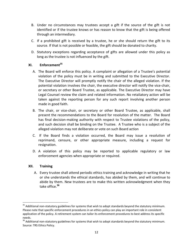- B. Under no circumstances may trustees accept a gift if the source of the gift is not identified or if the trustee knows or has reason to know that the gift is being offered through an intermediary.
- C. If a prohibited gift is received by a trustee, he or she should return the gift to its source. If that is not possible or feasible, the gift should be donated to charity.
- D. Statutory exceptions regarding acceptance of gifts are allowed under this policy as long as the trustee is not influenced by the gift.

# <span id="page-13-0"></span>**XI. Enforcement<sup>35</sup>**

- A. The Board will enforce this policy. A complaint or allegation of a Trustee's potential violation of the policy must be in writing and submitted to the Executive Director. The Executive Director will promptly notify the chair of the alleged violation. If the potential violation involves the chair, the executive director will notify the vice-chair, or secretary or other Board Trustee, as applicable. The Executive Director may have Legal Counsel review the claim and related information. No retaliatory action will be taken against the reporting person for any such report involving another person made in good faith.
- B. The chair, or vice-chair, or secretary or other Board Trustee, as applicable, shall present the recommendations to the Board for resolution of the matter. The Board has final decision-making authority with respect to Trustee violations of the policy, and such decision shall be binding on the Trustee. A Trustee who is a subject of the alleged violation may not deliberate or vote on such Board action
- C. If the Board finds a violation occurred, the Board may issue a resolution of reprimand, censure, or other appropriate measure, including a request for resignation.
- D. A violation of this policy may be reported to applicable regulatory or law enforcement agencies when appropriate or required.

# <span id="page-13-1"></span>**XII. Training**

 $\overline{a}$ 

A. Every trustee shall attend periodic ethics training and acknowledge in writing that he or she understands the ethical standards, has abided by them, and will continue to abide by them. New trustees are to make this written acknowledgment when they take office.**<sup>36</sup>**

<sup>&</sup>lt;sup>35</sup> Additional non-statutory guidelines for systems that wish to adopt standards beyond the statutory minimum. Please note that specific enforcement procedures in an ethics policy can play an important role in consistent application of the policy. A retirement system can tailor its enforcement procedures to best address its specific needs.

<sup>&</sup>lt;sup>36</sup> Additional non-statutory guidelines for systems that wish to adopt standards beyond the statutory minimum. Source: TRS Ethics Policy.